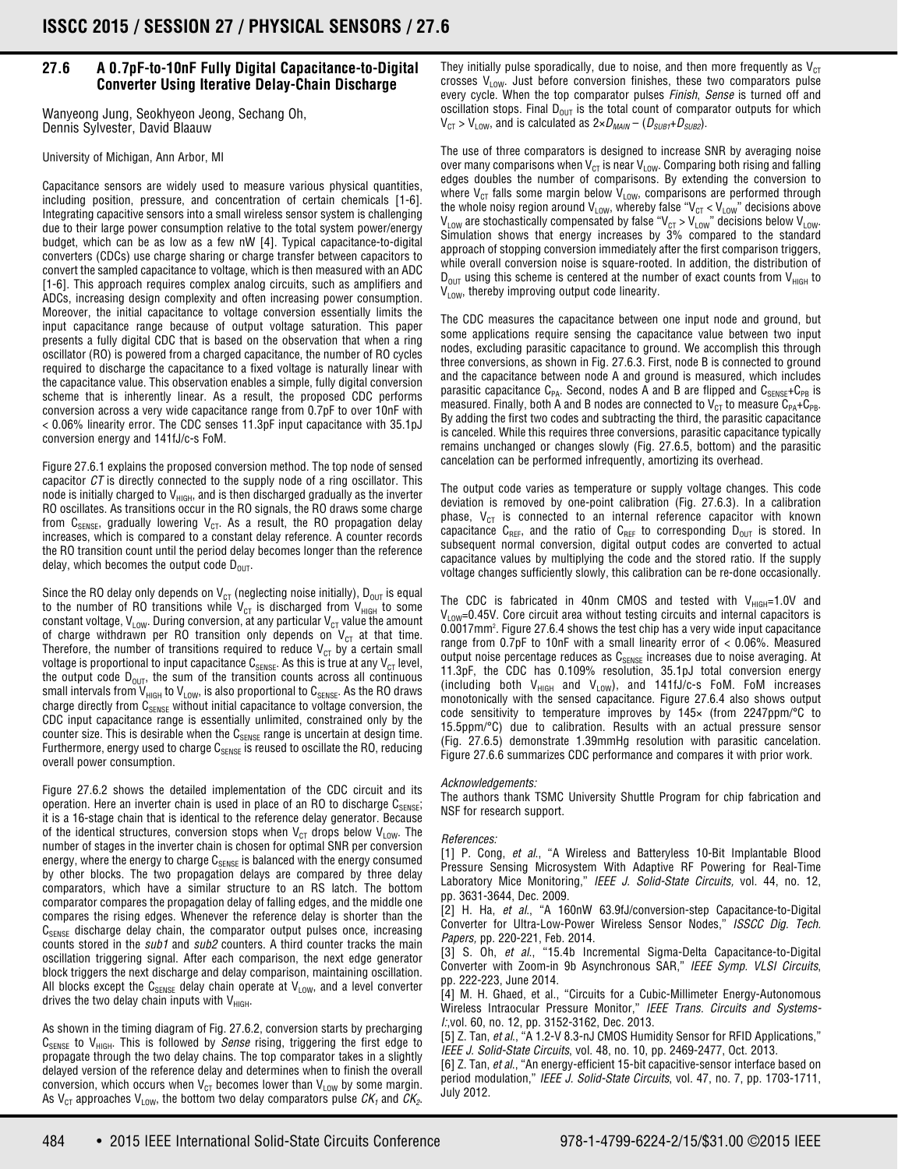## **27.6 A 0.7pF-to-10nF Fully Digital Capacitance-to-Digital Converter Using Iterative Delay-Chain Discharge**

Wanyeong Jung, Seokhyeon Jeong, Sechang Oh, Dennis Sylvester, David Blaauw

University of Michigan, Ann Arbor, MI

Capacitance sensors are widely used to measure various physical quantities, including position, pressure, and concentration of certain chemicals [1-6]. Integrating capacitive sensors into a small wireless sensor system is challenging due to their large power consumption relative to the total system power/energy budget, which can be as low as a few nW [4]. Typical capacitance-to-digital converters (CDCs) use charge sharing or charge transfer between capacitors to convert the sampled capacitance to voltage, which is then measured with an ADC [1-6]. This approach requires complex analog circuits, such as amplifiers and ADCs, increasing design complexity and often increasing power consumption. Moreover, the initial capacitance to voltage conversion essentially limits the input capacitance range because of output voltage saturation. This paper presents a fully digital CDC that is based on the observation that when a ring oscillator (RO) is powered from a charged capacitance, the number of RO cycles required to discharge the capacitance to a fixed voltage is naturally linear with the capacitance value. This observation enables a simple, fully digital conversion scheme that is inherently linear. As a result, the proposed CDC performs conversion across a very wide capacitance range from 0.7pF to over 10nF with < 0.06% linearity error. The CDC senses 11.3pF input capacitance with 35.1pJ conversion energy and 141fJ/c-s FoM.

Figure 27.6.1 explains the proposed conversion method. The top node of sensed capacitor CT is directly connected to the supply node of a ring oscillator. This node is initially charged to  $V<sub>HIGH</sub>$ , and is then discharged gradually as the inverter RO oscillates. As transitions occur in the RO signals, the RO draws some charge from  $C_{SENSE}$ , gradually lowering  $V_{CT}$ . As a result, the RO propagation delay increases, which is compared to a constant delay reference. A counter records the RO transition count until the period delay becomes longer than the reference delay, which becomes the output code  $D_{\text{OUT}}$ .

Since the RO delay only depends on  $V_{CT}$  (neglecting noise initially),  $D_{OUT}$  is equal to the number of RO transitions while  $V_{CT}$  is discharged from  $V_{HIGH}$  to some constant voltage, V<sub>LOW</sub>. During conversion, at any particular V<sub>CT</sub> value the amount of charge withdrawn per RO transition only depends on  $V_{CT}$  at that time. Therefore, the number of transitions required to reduce  $V_{CT}$  by a certain small voltage is proportional to input capacitance  $C_{\text{SENSE}}$ . As this is true at any  $V_{CT}$  level, the output code  $\mathsf{D}_{\mathsf{OUT}}$ , the sum of the transition counts across all continuous small intervals from V<sub>HIGH</sub> to V<sub>LOW</sub>, is also proportional to C $_{\tt SENSE}$ . As the RO draws charge directly from  $C_{SENSE}$  without initial capacitance to voltage conversion, the CDC input capacitance range is essentially unlimited, constrained only by the counter size. This is desirable when the  $C_{\text{SENSE}}$  range is uncertain at design time. Furthermore, energy used to charge  $C_{\text{SENSE}}$  is reused to oscillate the RO, reducing overall power consumption.

Figure 27.6.2 shows the detailed implementation of the CDC circuit and its operation. Here an inverter chain is used in place of an RO to discharge  $C_{\text{SENSE}}$ ; it is a 16-stage chain that is identical to the reference delay generator. Because of the identical structures, conversion stops when  $V_{CT}$  drops below  $V_{LOW}$ . The number of stages in the inverter chain is chosen for optimal SNR per conversion energy, where the energy to charge  $C_{\text{SFNSF}}$  is balanced with the energy consumed by other blocks. The two propagation delays are compared by three delay comparators, which have a similar structure to an RS latch. The bottom comparator compares the propagation delay of falling edges, and the middle one compares the rising edges. Whenever the reference delay is shorter than the  $C_{\text{SENSF}}$  discharge delay chain, the comparator output pulses once, increasing counts stored in the sub1 and sub2 counters. A third counter tracks the main oscillation triggering signal. After each comparison, the next edge generator block triggers the next discharge and delay comparison, maintaining oscillation. All blocks except the  $C_{SENSE}$  delay chain operate at  $V_{LOW}$ , and a level converter drives the two delay chain inputs with  $V<sub>HIGH</sub>$ .

As shown in the timing diagram of Fig. 27.6.2, conversion starts by precharging  $C_{SENSE}$  to  $V_{HIGH}$ . This is followed by *Sense* rising, triggering the first edge to propagate through the two delay chains. The top comparator takes in a slightly delayed version of the reference delay and determines when to finish the overall conversion, which occurs when  $V_{CT}$  becomes lower than  $V_{LOW}$  by some margin. As V<sub>CT</sub> approaches V<sub>LOW</sub>, the bottom two delay comparators pulse  $CK_1$  and  $CK_2$ .

They initially pulse sporadically, due to noise, and then more frequently as  $V_{CT}$ crosses  $V_{low}$ . Just before conversion finishes, these two comparators pulse every cycle. When the top comparator pulses Finish, Sense is turned off and oscillation stops. Final  $D_{\text{OUT}}$  is the total count of comparator outputs for which  $V_{CT} > V_{LOW}$ , and is calculated as  $2 \times D_{MAIN} - (D_{SUB1} + D_{SUB2})$ .

The use of three comparators is designed to increase SNR by averaging noise over many comparisons when  $V_{CT}$  is near  $V_{LOW}$ . Comparing both rising and falling edges doubles the number of comparisons. By extending the conversion to where  $V_{CT}$  falls some margin below  $V_{LOW}$ , comparisons are performed through the whole noisy region around V<sub>LOW</sub>, whereby false "V<sub>CT</sub> < V<sub>LOW</sub>" decisions above  $\rm V_{\rm LOW}$  are stochastically compensated by false "V $_{\rm C7}$  > V $_{\rm LOW}$ " decisions below V $_{\rm LOW}$ . Simulation shows that energy increases by 3% compared to the standard approach of stopping conversion immediately after the first comparison triggers, while overall conversion noise is square-rooted. In addition, the distribution of  $D_{\text{OUT}}$  using this scheme is centered at the number of exact counts from  $V_{\text{High}}$  to  $V_{LOW}$ , thereby improving output code linearity.

The CDC measures the capacitance between one input node and ground, but some applications require sensing the capacitance value between two input nodes, excluding parasitic capacitance to ground. We accomplish this through three conversions, as shown in Fig. 27.6.3. First, node B is connected to ground and the capacitance between node A and ground is measured, which includes parasitic capacitance  $C_{PA}$ . Second, nodes A and B are flipped and  $C_{SFRSF} + C_{PB}$  is measured. Finally, both A and B nodes are connected to  $V_{CT}$  to measure  $C_{PA}+C_{PR}$ . By adding the first two codes and subtracting the third, the parasitic capacitance is canceled. While this requires three conversions, parasitic capacitance typically remains unchanged or changes slowly (Fig. 27.6.5, bottom) and the parasitic cancelation can be performed infrequently, amortizing its overhead.

The output code varies as temperature or supply voltage changes. This code deviation is removed by one-point calibration (Fig. 27.6.3). In a calibration phase,  $V_{CT}$  is connected to an internal reference capacitor with known capacitance C<sub>REF</sub>, and the ratio of C<sub>REF</sub> to corresponding  $D_{OUT}$  is stored. In subsequent normal conversion, digital output codes are converted to actual capacitance values by multiplying the code and the stored ratio. If the supply voltage changes sufficiently slowly, this calibration can be re-done occasionally.

The CDC is fabricated in 40nm CMOS and tested with  $V_{HIGH}$ =1.0V and  $V_{\text{low}}$ =0.45V. Core circuit area without testing circuits and internal capacitors is 0.0017mm2 . Figure 27.6.4 shows the test chip has a very wide input capacitance range from 0.7pF to 10nF with a small linearity error of < 0.06%. Measured output noise percentage reduces as  $C_{\text{SENSE}}$  increases due to noise averaging. At 11.3pF, the CDC has 0.109% resolution, 35.1pJ total conversion energy (including both  $V_{HIGH}$  and  $V_{LOW}$ ), and 141fJ/c-s FoM. FoM increases monotonically with the sensed capacitance. Figure 27.6.4 also shows output code sensitivity to temperature improves by 145× (from 2247ppm/°C to 15.5ppm/°C) due to calibration. Results with an actual pressure sensor (Fig. 27.6.5) demonstrate 1.39mmHg resolution with parasitic cancelation. Figure 27.6.6 summarizes CDC performance and compares it with prior work.

## Acknowledgements:

The authors thank TSMC University Shuttle Program for chip fabrication and NSF for research support.

## References:

[1] P. Cong, et al., "A Wireless and Batteryless 10-Bit Implantable Blood Pressure Sensing Microsystem With Adaptive RF Powering for Real-Time Laboratory Mice Monitoring," IEEE J. Solid-State Circuits, vol. 44, no. 12, pp. 3631-3644, Dec. 2009.

[2] H. Ha, et al., "A 160nW 63.9fJ/conversion-step Capacitance-to-Digital Converter for Ultra-Low-Power Wireless Sensor Nodes," ISSCC Dig. Tech. Papers, pp. 220-221, Feb. 2014.

[3] S. Oh, et al., "15.4b Incremental Sigma-Delta Capacitance-to-Digital Converter with Zoom-in 9b Asynchronous SAR," IEEE Symp. VLSI Circuits, pp. 222-223, June 2014.

[4] M. H. Ghaed, et al., "Circuits for a Cubic-Millimeter Energy-Autonomous Wireless Intraocular Pressure Monitor," IEEE Trans. Circuits and Systems-I:,vol. 60, no. 12, pp. 3152-3162, Dec. 2013.

[5] Z. Tan, et al., "A 1.2-V 8.3-nJ CMOS Humidity Sensor for RFID Applications," IEEE J. Solid-State Circuits, vol. 48, no. 10, pp. 2469-2477, Oct. 2013.

[6] Z. Tan, et al., "An energy-efficient 15-bit capacitive-sensor interface based on period modulation," IEEE J. Solid-State Circuits, vol. 47, no. 7, pp. 1703-1711, July 2012.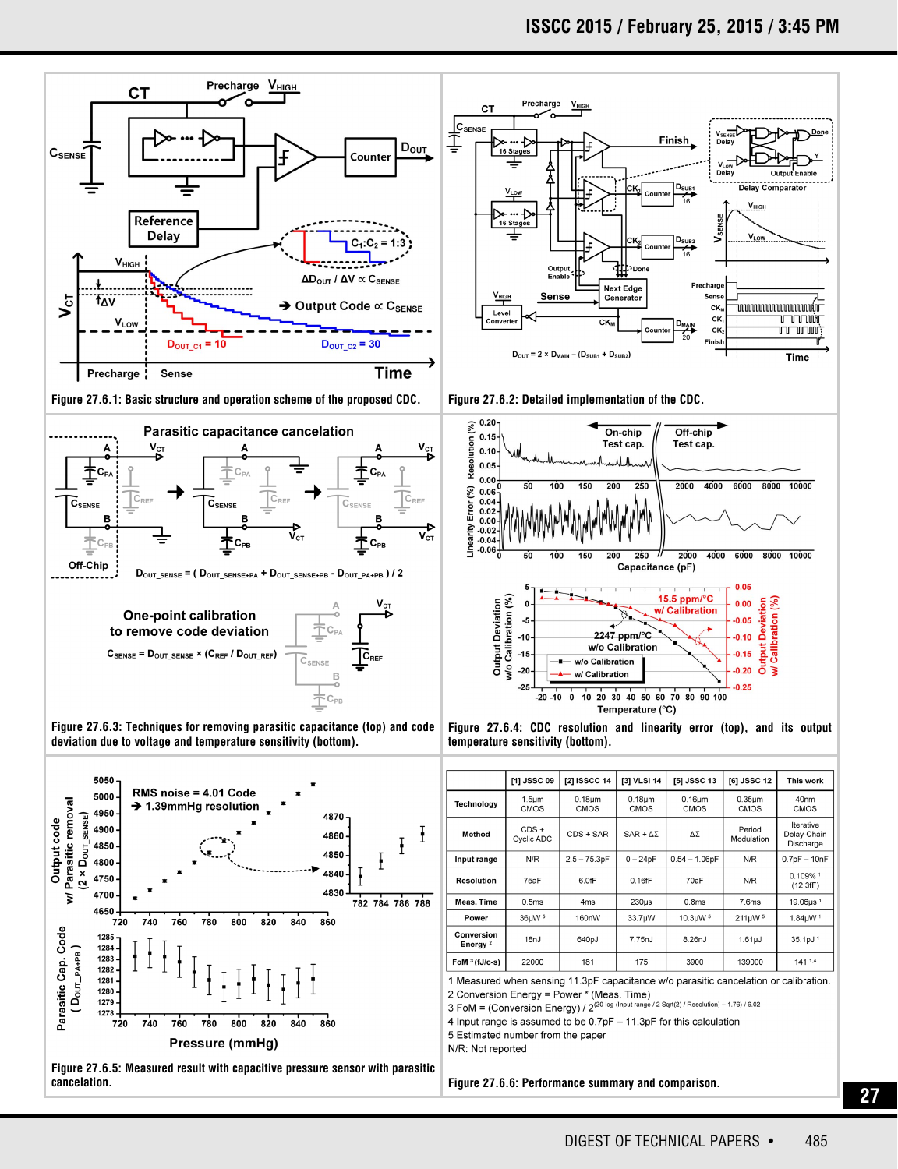

**Figure 27.6.5: Measured result with capacitive pressure sensor with parasitic cancelation. Figure 27.6.6: Performance summary and comparison.**

**27**